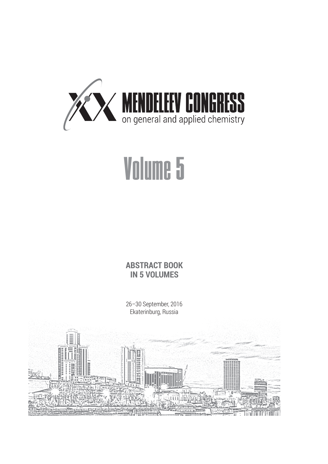

## Volume 5

**ABSTRACT BOOK IN 5 VOLUMES**

26–30 September, 2016 Ekaterinburg, Russia